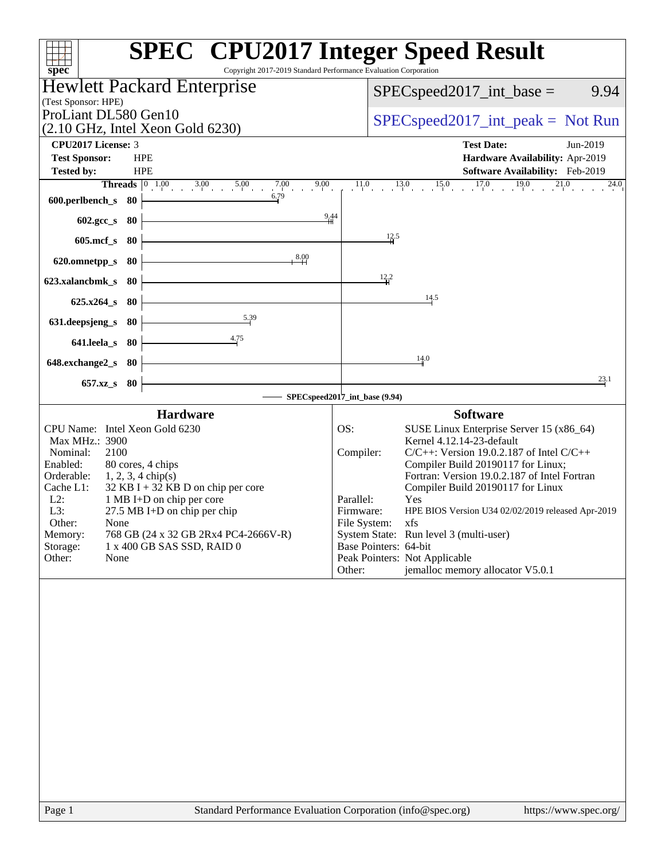| Copyright 2017-2019 Standard Performance Evaluation Corporation<br>spec <sup>®</sup>                                                                                                                                                                                                                                                                                                                                                         | <b>SPEC<sup>®</sup></b> CPU2017 Integer Speed Result                                                                                                                                                                                                                                                                                                                                                                                                                                                                                                    |
|----------------------------------------------------------------------------------------------------------------------------------------------------------------------------------------------------------------------------------------------------------------------------------------------------------------------------------------------------------------------------------------------------------------------------------------------|---------------------------------------------------------------------------------------------------------------------------------------------------------------------------------------------------------------------------------------------------------------------------------------------------------------------------------------------------------------------------------------------------------------------------------------------------------------------------------------------------------------------------------------------------------|
| <b>Hewlett Packard Enterprise</b>                                                                                                                                                                                                                                                                                                                                                                                                            | $SPEC speed2017\_int\_base =$<br>9.94                                                                                                                                                                                                                                                                                                                                                                                                                                                                                                                   |
| (Test Sponsor: HPE)<br>ProLiant DL580 Gen10<br>$(2.10 \text{ GHz}, \text{Intel Xeon Gold } 6230)$                                                                                                                                                                                                                                                                                                                                            | $SPEC speed2017\_int\_peak = Not Run$                                                                                                                                                                                                                                                                                                                                                                                                                                                                                                                   |
| CPU2017 License: 3                                                                                                                                                                                                                                                                                                                                                                                                                           | <b>Test Date:</b><br>Jun-2019                                                                                                                                                                                                                                                                                                                                                                                                                                                                                                                           |
| <b>Test Sponsor:</b><br><b>HPE</b><br><b>Tested by:</b><br><b>HPE</b>                                                                                                                                                                                                                                                                                                                                                                        | Hardware Availability: Apr-2019<br>Software Availability: Feb-2019                                                                                                                                                                                                                                                                                                                                                                                                                                                                                      |
| <b>Threads</b> $\begin{array}{ccc} 0 & 1.00 & 3.00 & 5.00 \\ 1 & 0 & 0 & 0 \\ 0 & 0 & 0 & 0 \end{array}$<br>$7.00$ 9.00                                                                                                                                                                                                                                                                                                                      | $11.0$ $13.0$ $15.0$ $17.0$ $19.0$ $21.0$<br>24.0                                                                                                                                                                                                                                                                                                                                                                                                                                                                                                       |
| 6.79<br>600.perlbench_s 80                                                                                                                                                                                                                                                                                                                                                                                                                   |                                                                                                                                                                                                                                                                                                                                                                                                                                                                                                                                                         |
| 9,44<br>602.gcc_s 80                                                                                                                                                                                                                                                                                                                                                                                                                         |                                                                                                                                                                                                                                                                                                                                                                                                                                                                                                                                                         |
| $605$ .mcf_s<br>- 80                                                                                                                                                                                                                                                                                                                                                                                                                         | 12.5                                                                                                                                                                                                                                                                                                                                                                                                                                                                                                                                                    |
| 8.00<br>80<br>620.omnetpp_s                                                                                                                                                                                                                                                                                                                                                                                                                  |                                                                                                                                                                                                                                                                                                                                                                                                                                                                                                                                                         |
| 80<br>623.xalancbmk_s                                                                                                                                                                                                                                                                                                                                                                                                                        | $\frac{12}{4}$ <sup>2</sup>                                                                                                                                                                                                                                                                                                                                                                                                                                                                                                                             |
| $625.x264$ s 80                                                                                                                                                                                                                                                                                                                                                                                                                              | 14.5                                                                                                                                                                                                                                                                                                                                                                                                                                                                                                                                                    |
| 5.39<br>631.deepsjeng_s<br>80                                                                                                                                                                                                                                                                                                                                                                                                                |                                                                                                                                                                                                                                                                                                                                                                                                                                                                                                                                                         |
| 4.75<br>641.leela_s 80                                                                                                                                                                                                                                                                                                                                                                                                                       |                                                                                                                                                                                                                                                                                                                                                                                                                                                                                                                                                         |
| 648.exchange2_s 80                                                                                                                                                                                                                                                                                                                                                                                                                           | 14.0                                                                                                                                                                                                                                                                                                                                                                                                                                                                                                                                                    |
| 657.xz <sub>_8</sub> 80                                                                                                                                                                                                                                                                                                                                                                                                                      | 23.1                                                                                                                                                                                                                                                                                                                                                                                                                                                                                                                                                    |
|                                                                                                                                                                                                                                                                                                                                                                                                                                              | SPECspeed2017_int_base (9.94)                                                                                                                                                                                                                                                                                                                                                                                                                                                                                                                           |
| <b>Hardware</b><br>CPU Name: Intel Xeon Gold 6230<br>Max MHz.: 3900<br>2100<br>Nominal:<br>80 cores, 4 chips<br>Enabled:<br>Orderable:<br>$1, 2, 3, 4 \text{ chip}(s)$<br>$32$ KB I + 32 KB D on chip per core<br>Cache L1:<br>1 MB I+D on chip per core<br>$L2$ :<br>L3:<br>$27.5$ MB I+D on chip per chip<br>Other:<br>None<br>768 GB (24 x 32 GB 2Rx4 PC4-2666V-R)<br>Memory:<br>Storage:<br>1 x 400 GB SAS SSD, RAID 0<br>Other:<br>None | <b>Software</b><br>OS:<br>SUSE Linux Enterprise Server 15 (x86_64)<br>Kernel 4.12.14-23-default<br>$C/C++$ : Version 19.0.2.187 of Intel $C/C++$<br>Compiler:<br>Compiler Build 20190117 for Linux;<br>Fortran: Version 19.0.2.187 of Intel Fortran<br>Compiler Build 20190117 for Linux<br>Parallel:<br>Yes<br>Firmware:<br>HPE BIOS Version U34 02/02/2019 released Apr-2019<br>File System:<br>xfs<br>System State: Run level 3 (multi-user)<br>Base Pointers: 64-bit<br>Peak Pointers: Not Applicable<br>jemalloc memory allocator V5.0.1<br>Other: |
|                                                                                                                                                                                                                                                                                                                                                                                                                                              |                                                                                                                                                                                                                                                                                                                                                                                                                                                                                                                                                         |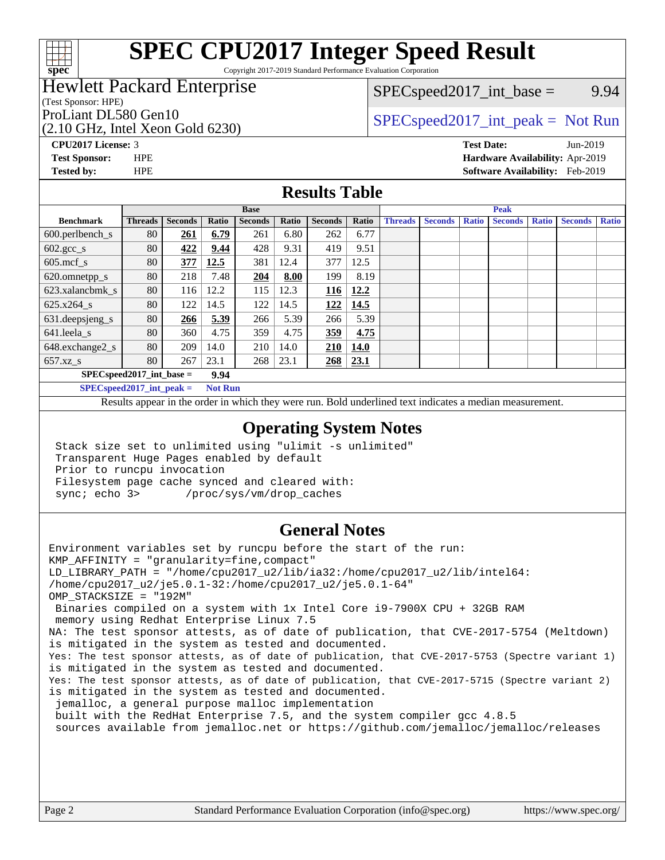

Copyright 2017-2019 Standard Performance Evaluation Corporation

# Hewlett Packard Enterprise

(Test Sponsor: HPE)

(2.10 GHz, Intel Xeon Gold 6230)

 $SPEC speed2017\_int\_base =$  9.94

# ProLiant DL580 Gen10  $SPEC speed2017\_int\_peak = Not Run$

**[Tested by:](http://www.spec.org/auto/cpu2017/Docs/result-fields.html#Testedby)** HPE **[Software Availability:](http://www.spec.org/auto/cpu2017/Docs/result-fields.html#SoftwareAvailability)** Feb-2019

**[CPU2017 License:](http://www.spec.org/auto/cpu2017/Docs/result-fields.html#CPU2017License)** 3 **[Test Date:](http://www.spec.org/auto/cpu2017/Docs/result-fields.html#TestDate)** Jun-2019 **[Test Sponsor:](http://www.spec.org/auto/cpu2017/Docs/result-fields.html#TestSponsor)** HPE **[Hardware Availability:](http://www.spec.org/auto/cpu2017/Docs/result-fields.html#HardwareAvailability)** Apr-2019

### **[Results Table](http://www.spec.org/auto/cpu2017/Docs/result-fields.html#ResultsTable)**

|                                     | <b>Base</b>    |                |       |                |       |                | <b>Peak</b> |                |                |              |                |              |                |              |
|-------------------------------------|----------------|----------------|-------|----------------|-------|----------------|-------------|----------------|----------------|--------------|----------------|--------------|----------------|--------------|
| <b>Benchmark</b>                    | <b>Threads</b> | <b>Seconds</b> | Ratio | <b>Seconds</b> | Ratio | <b>Seconds</b> | Ratio       | <b>Threads</b> | <b>Seconds</b> | <b>Ratio</b> | <b>Seconds</b> | <b>Ratio</b> | <b>Seconds</b> | <b>Ratio</b> |
| $600.$ perlbench_s                  | 80             | 261            | 6.79  | 261            | 6.80  | 262            | 6.77        |                |                |              |                |              |                |              |
| $602.\text{gcc}\sspace_{\text{-}S}$ | 80             | 422            | 9.44  | 428            | 9.31  | 419            | 9.51        |                |                |              |                |              |                |              |
| $605$ .mcf s                        | 80             | 377            | 12.5  | 381            | 12.4  | 377            | 12.5        |                |                |              |                |              |                |              |
| 620.omnetpp_s                       | 80             | 218            | 7.48  | 204            | 8.00  | 199            | 8.19        |                |                |              |                |              |                |              |
| 623.xalancbmk s                     | 80             | 116            | 12.2  | 115            | 12.3  | 116            | 12.2        |                |                |              |                |              |                |              |
| 625.x264 s                          | 80             | 122            | 14.5  | 122            | 14.5  | 122            | 14.5        |                |                |              |                |              |                |              |
| 631.deepsjeng_s                     | 80             | 266            | 5.39  | 266            | 5.39  | 266            | 5.39        |                |                |              |                |              |                |              |
| 641.leela s                         | 80             | 360            | 4.75  | 359            | 4.75  | 359            | 4.75        |                |                |              |                |              |                |              |
| 648.exchange2_s                     | 80             | 209            | 14.0  | 210            | 14.0  | 210            | <b>14.0</b> |                |                |              |                |              |                |              |
| $657.xz$ s                          | 80             | 267            | 23.1  | 268            | 23.1  | 268            | 23.1        |                |                |              |                |              |                |              |
| $SPECspeed2017\_int\_base =$        |                |                | 9.94  |                |       |                |             |                |                |              |                |              |                |              |

**[SPECspeed2017\\_int\\_peak =](http://www.spec.org/auto/cpu2017/Docs/result-fields.html#SPECspeed2017intpeak) Not Run**

Results appear in the [order in which they were run.](http://www.spec.org/auto/cpu2017/Docs/result-fields.html#RunOrder) Bold underlined text [indicates a median measurement.](http://www.spec.org/auto/cpu2017/Docs/result-fields.html#Median)

### **[Operating System Notes](http://www.spec.org/auto/cpu2017/Docs/result-fields.html#OperatingSystemNotes)**

 Stack size set to unlimited using "ulimit -s unlimited" Transparent Huge Pages enabled by default Prior to runcpu invocation Filesystem page cache synced and cleared with: sync; echo 3> /proc/sys/vm/drop\_caches

## **[General Notes](http://www.spec.org/auto/cpu2017/Docs/result-fields.html#GeneralNotes)**

Environment variables set by runcpu before the start of the run: KMP\_AFFINITY = "granularity=fine,compact" LD\_LIBRARY\_PATH = "/home/cpu2017\_u2/lib/ia32:/home/cpu2017\_u2/lib/intel64: /home/cpu2017\_u2/je5.0.1-32:/home/cpu2017\_u2/je5.0.1-64" OMP\_STACKSIZE = "192M" Binaries compiled on a system with 1x Intel Core i9-7900X CPU + 32GB RAM memory using Redhat Enterprise Linux 7.5 NA: The test sponsor attests, as of date of publication, that CVE-2017-5754 (Meltdown) is mitigated in the system as tested and documented. Yes: The test sponsor attests, as of date of publication, that CVE-2017-5753 (Spectre variant 1) is mitigated in the system as tested and documented. Yes: The test sponsor attests, as of date of publication, that CVE-2017-5715 (Spectre variant 2) is mitigated in the system as tested and documented. jemalloc, a general purpose malloc implementation built with the RedHat Enterprise 7.5, and the system compiler gcc 4.8.5 sources available from jemalloc.net or<https://github.com/jemalloc/jemalloc/releases>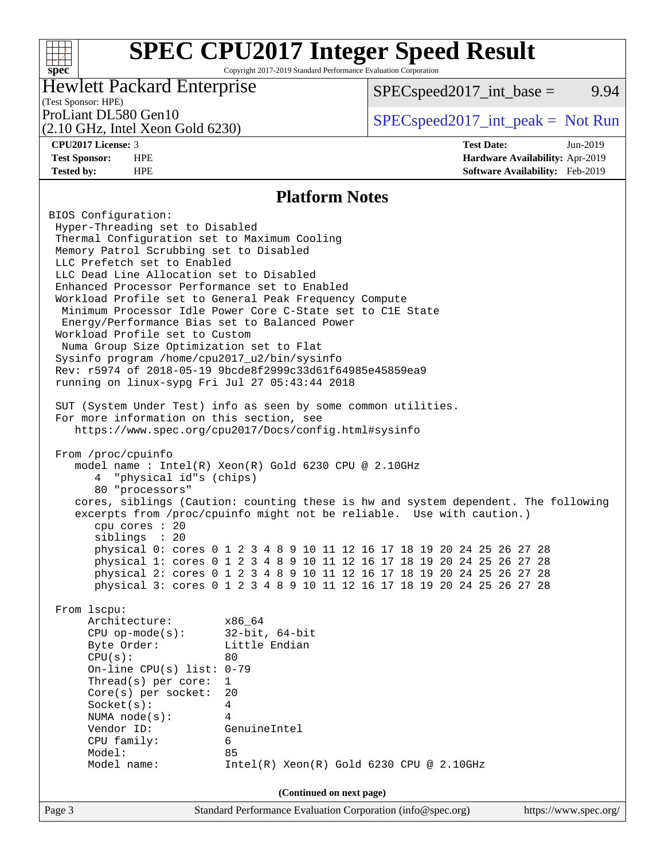Copyright 2017-2019 Standard Performance Evaluation Corporation

# Hewlett Packard Enterprise

 $SPEC speed2017\_int\_base =$  9.94

# (Test Sponsor: HPE)

(2.10 GHz, Intel Xeon Gold 6230)

ProLiant DL580 Gen10  $SPEC speed2017\_int\_peak = Not Run$ 

**[spec](http://www.spec.org/)**

 $+\!\!+\!\!$ 

**[CPU2017 License:](http://www.spec.org/auto/cpu2017/Docs/result-fields.html#CPU2017License)** 3 **[Test Date:](http://www.spec.org/auto/cpu2017/Docs/result-fields.html#TestDate)** Jun-2019 **[Test Sponsor:](http://www.spec.org/auto/cpu2017/Docs/result-fields.html#TestSponsor)** HPE **[Hardware Availability:](http://www.spec.org/auto/cpu2017/Docs/result-fields.html#HardwareAvailability)** Apr-2019 **[Tested by:](http://www.spec.org/auto/cpu2017/Docs/result-fields.html#Testedby)** HPE **[Software Availability:](http://www.spec.org/auto/cpu2017/Docs/result-fields.html#SoftwareAvailability)** Feb-2019

### **[Platform Notes](http://www.spec.org/auto/cpu2017/Docs/result-fields.html#PlatformNotes)**

Page 3 Standard Performance Evaluation Corporation [\(info@spec.org\)](mailto:info@spec.org) <https://www.spec.org/> BIOS Configuration: Hyper-Threading set to Disabled Thermal Configuration set to Maximum Cooling Memory Patrol Scrubbing set to Disabled LLC Prefetch set to Enabled LLC Dead Line Allocation set to Disabled Enhanced Processor Performance set to Enabled Workload Profile set to General Peak Frequency Compute Minimum Processor Idle Power Core C-State set to C1E State Energy/Performance Bias set to Balanced Power Workload Profile set to Custom Numa Group Size Optimization set to Flat Sysinfo program /home/cpu2017\_u2/bin/sysinfo Rev: r5974 of 2018-05-19 9bcde8f2999c33d61f64985e45859ea9 running on linux-sypg Fri Jul 27 05:43:44 2018 SUT (System Under Test) info as seen by some common utilities. For more information on this section, see <https://www.spec.org/cpu2017/Docs/config.html#sysinfo> From /proc/cpuinfo model name : Intel(R) Xeon(R) Gold 6230 CPU @ 2.10GHz 4 "physical id"s (chips) 80 "processors" cores, siblings (Caution: counting these is hw and system dependent. The following excerpts from /proc/cpuinfo might not be reliable. Use with caution.) cpu cores : 20 siblings : 20 physical 0: cores 0 1 2 3 4 8 9 10 11 12 16 17 18 19 20 24 25 26 27 28 physical 1: cores 0 1 2 3 4 8 9 10 11 12 16 17 18 19 20 24 25 26 27 28 physical 2: cores 0 1 2 3 4 8 9 10 11 12 16 17 18 19 20 24 25 26 27 28 physical 3: cores 0 1 2 3 4 8 9 10 11 12 16 17 18 19 20 24 25 26 27 28 From lscpu: Architecture: x86\_64 CPU op-mode(s): 32-bit, 64-bit Byte Order: Little Endian  $CPU(s):$  80 On-line CPU(s) list: 0-79 Thread(s) per core: 1 Core(s) per socket: 20 Socket(s): 4 NUMA node(s): 4 Vendor ID: GenuineIntel CPU family: 6 Model: 85 Model name: Intel(R) Xeon(R) Gold 6230 CPU @ 2.10GHz **(Continued on next page)**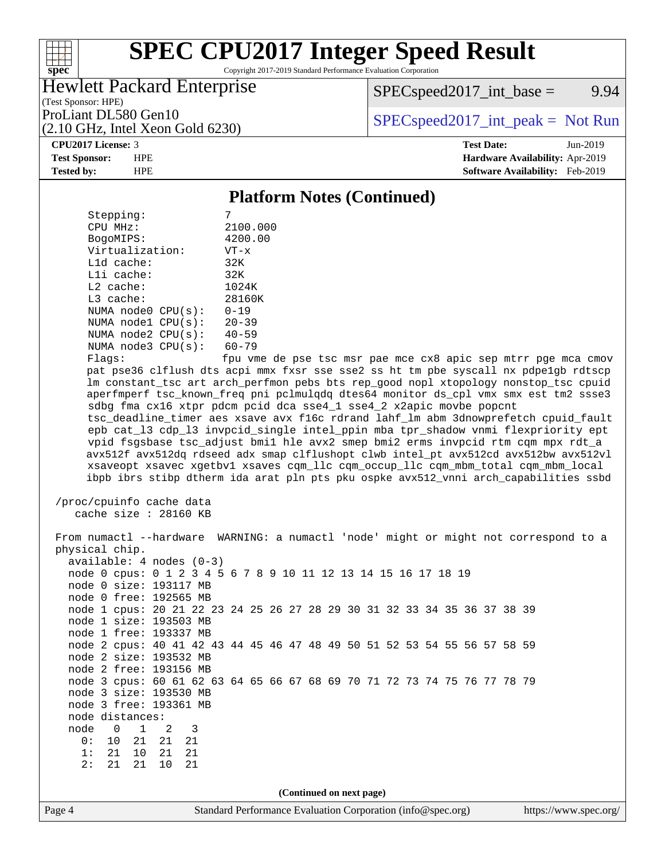Copyright 2017-2019 Standard Performance Evaluation Corporation

# Hewlett Packard Enterprise

 $SPEC speed2017\_int\_base =$  9.94

(Test Sponsor: HPE)

(2.10 GHz, Intel Xeon Gold 6230)

ProLiant DL580 Gen10  $SPEC speed2017\_int\_peak = Not Run$ 

#### **[CPU2017 License:](http://www.spec.org/auto/cpu2017/Docs/result-fields.html#CPU2017License)** 3 **[Test Date:](http://www.spec.org/auto/cpu2017/Docs/result-fields.html#TestDate)** Jun-2019

**[spec](http://www.spec.org/)**

 $+\!\!+\!\!$ 

**[Test Sponsor:](http://www.spec.org/auto/cpu2017/Docs/result-fields.html#TestSponsor)** HPE **[Hardware Availability:](http://www.spec.org/auto/cpu2017/Docs/result-fields.html#HardwareAvailability)** Apr-2019 **[Tested by:](http://www.spec.org/auto/cpu2017/Docs/result-fields.html#Testedby)** HPE **[Software Availability:](http://www.spec.org/auto/cpu2017/Docs/result-fields.html#SoftwareAvailability)** Feb-2019

### **[Platform Notes \(Continued\)](http://www.spec.org/auto/cpu2017/Docs/result-fields.html#PlatformNotes)**

| Stepping:       |              |                         |                            |  |
|-----------------|--------------|-------------------------|----------------------------|--|
| CPU MHz:        | 2100.000     |                         |                            |  |
| BogoMIPS:       | 4200.00      |                         |                            |  |
| Virtualization: | $VT - x$     |                         |                            |  |
|                 | $L1d$ cache: | 32K                     |                            |  |
|                 | Lli cache:   | 32K                     |                            |  |
| $L2$ cache:     |              | 1024K                   |                            |  |
| $L3$ cache:     |              |                         | 28160K                     |  |
|                 |              | NUMA $node0$ $CPU(s)$ : | $0 - 19$                   |  |
|                 |              | NUMA $node1$ $CPU(s)$ : | $20 - 39$                  |  |
|                 |              | NUMA $node2$ $CPU(s):$  | $40 - 59$                  |  |
|                 |              | NUMA $node3$ $CPU(s)$ : | $60 - 79$                  |  |
| F1200           |              |                         | $f_{\text{min}}$ $\tau$ mo |  |

Flags: fpu vme de pse tsc msr pae mce cx8 apic sep mtrr pge mca cmov pat pse36 clflush dts acpi mmx fxsr sse sse2 ss ht tm pbe syscall nx pdpe1gb rdtscp lm constant\_tsc art arch\_perfmon pebs bts rep\_good nopl xtopology nonstop\_tsc cpuid aperfmperf tsc\_known\_freq pni pclmulqdq dtes64 monitor ds\_cpl vmx smx est tm2 ssse3 sdbg fma cx16 xtpr pdcm pcid dca sse4\_1 sse4\_2 x2apic movbe popcnt tsc\_deadline\_timer aes xsave avx f16c rdrand lahf\_lm abm 3dnowprefetch cpuid\_fault epb cat\_l3 cdp\_l3 invpcid\_single intel\_ppin mba tpr\_shadow vnmi flexpriority ept vpid fsgsbase tsc\_adjust bmi1 hle avx2 smep bmi2 erms invpcid rtm cqm mpx rdt\_a avx512f avx512dq rdseed adx smap clflushopt clwb intel\_pt avx512cd avx512bw avx512vl xsaveopt xsavec xgetbv1 xsaves cqm\_llc cqm\_occup\_llc cqm\_mbm\_total cqm\_mbm\_local ibpb ibrs stibp dtherm ida arat pln pts pku ospke avx512\_vnni arch\_capabilities ssbd

```
 /proc/cpuinfo cache data
cache size : 28160 KB
```
Page 4 Standard Performance Evaluation Corporation [\(info@spec.org\)](mailto:info@spec.org) <https://www.spec.org/> From numactl --hardware WARNING: a numactl 'node' might or might not correspond to a physical chip. available: 4 nodes (0-3) node 0 cpus: 0 1 2 3 4 5 6 7 8 9 10 11 12 13 14 15 16 17 18 19 node 0 size: 193117 MB node 0 free: 192565 MB node 1 cpus: 20 21 22 23 24 25 26 27 28 29 30 31 32 33 34 35 36 37 38 39 node 1 size: 193503 MB node 1 free: 193337 MB node 2 cpus: 40 41 42 43 44 45 46 47 48 49 50 51 52 53 54 55 56 57 58 59 node 2 size: 193532 MB node 2 free: 193156 MB node 3 cpus: 60 61 62 63 64 65 66 67 68 69 70 71 72 73 74 75 76 77 78 79 node 3 size: 193530 MB node 3 free: 193361 MB node distances: node 0 1 2 3<br>0: 10 21 21 21 0: 10 21 21 21 1: 21 10 21 21 2: 21 21 10 21 **(Continued on next page)**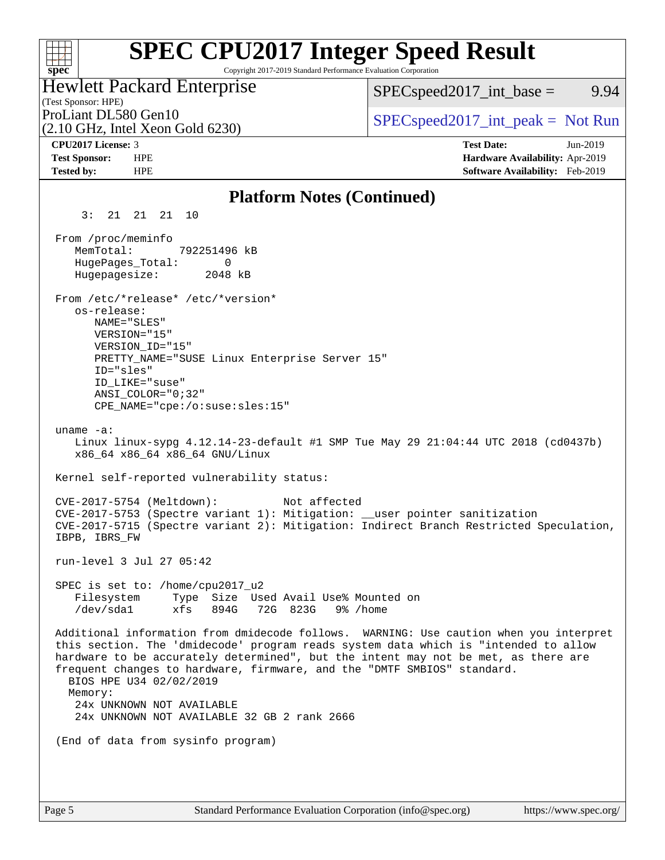### **[SPEC CPU2017 Integer Speed Result](http://www.spec.org/auto/cpu2017/Docs/result-fields.html#SPECCPU2017IntegerSpeedResult)**  $+\ +$ Copyright 2017-2019 Standard Performance Evaluation Corporation **[spec](http://www.spec.org/)** Hewlett Packard Enterprise  $SPEC speed2017\_int\_base =$  9.94 (Test Sponsor: HPE) ProLiant DL580 Gen10  $SPEC speed2017\_int\_peak = Not Run$ (2.10 GHz, Intel Xeon Gold 6230) **[CPU2017 License:](http://www.spec.org/auto/cpu2017/Docs/result-fields.html#CPU2017License)** 3 **[Test Date:](http://www.spec.org/auto/cpu2017/Docs/result-fields.html#TestDate)** Jun-2019 **[Test Sponsor:](http://www.spec.org/auto/cpu2017/Docs/result-fields.html#TestSponsor)** HPE **[Hardware Availability:](http://www.spec.org/auto/cpu2017/Docs/result-fields.html#HardwareAvailability)** Apr-2019 **[Tested by:](http://www.spec.org/auto/cpu2017/Docs/result-fields.html#Testedby)** HPE **[Software Availability:](http://www.spec.org/auto/cpu2017/Docs/result-fields.html#SoftwareAvailability)** Feb-2019 **[Platform Notes \(Continued\)](http://www.spec.org/auto/cpu2017/Docs/result-fields.html#PlatformNotes)** 3: 21 21 21 10 From /proc/meminfo MemTotal: 792251496 kB HugePages\_Total: 0 Hugepagesize: 2048 kB From /etc/\*release\* /etc/\*version\* os-release: NAME="SLES" VERSION="15" VERSION\_ID="15" PRETTY NAME="SUSE Linux Enterprise Server 15" ID="sles" ID\_LIKE="suse" ANSI\_COLOR="0;32" CPE\_NAME="cpe:/o:suse:sles:15" uname -a: Linux linux-sypg 4.12.14-23-default #1 SMP Tue May 29 21:04:44 UTC 2018 (cd0437b) x86\_64 x86\_64 x86\_64 GNU/Linux Kernel self-reported vulnerability status: CVE-2017-5754 (Meltdown): Not affected CVE-2017-5753 (Spectre variant 1): Mitigation: \_\_user pointer sanitization CVE-2017-5715 (Spectre variant 2): Mitigation: Indirect Branch Restricted Speculation, IBPB, IBRS\_FW run-level 3 Jul 27 05:42 SPEC is set to: /home/cpu2017\_u2 Filesystem Type Size Used Avail Use% Mounted on /dev/sda1 xfs 894G 72G 823G 9% /home Additional information from dmidecode follows. WARNING: Use caution when you interpret this section. The 'dmidecode' program reads system data which is "intended to allow hardware to be accurately determined", but the intent may not be met, as there are frequent changes to hardware, firmware, and the "DMTF SMBIOS" standard. BIOS HPE U34 02/02/2019 Memory: 24x UNKNOWN NOT AVAILABLE 24x UNKNOWN NOT AVAILABLE 32 GB 2 rank 2666 (End of data from sysinfo program)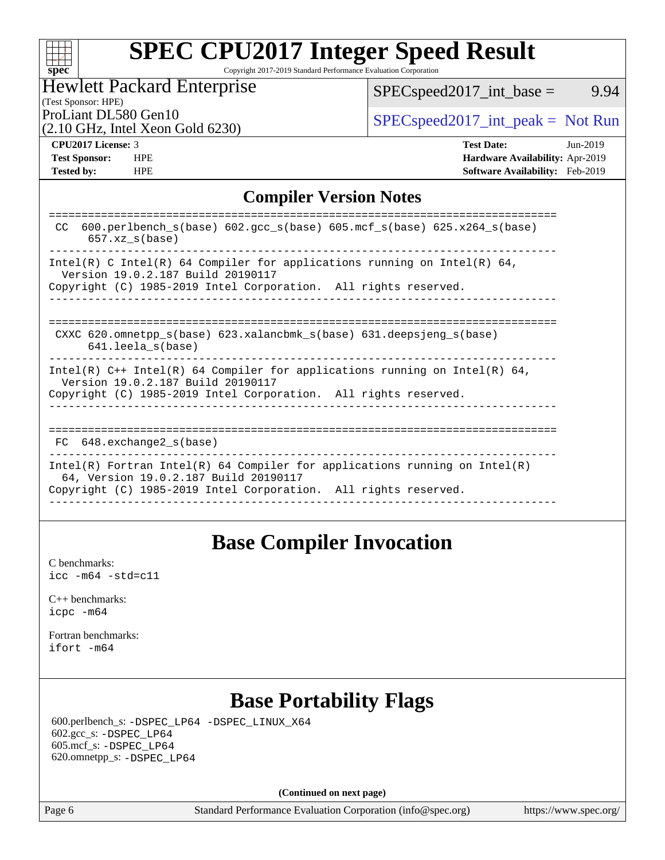|  | spe | C |  |
|--|-----|---|--|

Copyright 2017-2019 Standard Performance Evaluation Corporation

# Hewlett Packard Enterprise

[SPECspeed2017\\_int\\_base =](http://www.spec.org/auto/cpu2017/Docs/result-fields.html#SPECspeed2017intbase) 9.94

# (Test Sponsor: HPE)

(2.10 GHz, Intel Xeon Gold 6230)

ProLiant DL580 Gen10  $SPEC speed2017\_int\_peak = Not Run$ 

**[Tested by:](http://www.spec.org/auto/cpu2017/Docs/result-fields.html#Testedby)** HPE **[Software Availability:](http://www.spec.org/auto/cpu2017/Docs/result-fields.html#SoftwareAvailability)** Feb-2019

**[CPU2017 License:](http://www.spec.org/auto/cpu2017/Docs/result-fields.html#CPU2017License)** 3 **[Test Date:](http://www.spec.org/auto/cpu2017/Docs/result-fields.html#TestDate)** Jun-2019 **[Test Sponsor:](http://www.spec.org/auto/cpu2017/Docs/result-fields.html#TestSponsor)** HPE **[Hardware Availability:](http://www.spec.org/auto/cpu2017/Docs/result-fields.html#HardwareAvailability)** Apr-2019

## **[Compiler Version Notes](http://www.spec.org/auto/cpu2017/Docs/result-fields.html#CompilerVersionNotes)**

| 600.perlbench $s(base)$ 602.qcc $s(base)$ 605.mcf $s(base)$ 625.x264 $s(base)$<br>CC.<br>$657.xx$ s(base)                                                                            |
|--------------------------------------------------------------------------------------------------------------------------------------------------------------------------------------|
| Intel(R) C Intel(R) 64 Compiler for applications running on Intel(R) 64,<br>Version 19.0.2.187 Build 20190117                                                                        |
| Copyright (C) 1985-2019 Intel Corporation. All rights reserved.                                                                                                                      |
| CXXC 620.omnetpp $s(base)$ 623.xalancbmk $s(base)$ 631.deepsjeng $s(base)$<br>$641.$ leela $s(base)$                                                                                 |
| Intel(R) $C++$ Intel(R) 64 Compiler for applications running on Intel(R) 64,<br>Version 19.0.2.187 Build 20190117<br>Copyright (C) 1985-2019 Intel Corporation. All rights reserved. |
| 648.exchange2 s(base)<br>FC.                                                                                                                                                         |
| $Intel(R)$ Fortran Intel(R) 64 Compiler for applications running on Intel(R)<br>64, Version 19.0.2.187 Build 20190117                                                                |
| Copyright (C) 1985-2019 Intel Corporation. All rights reserved.                                                                                                                      |

# **[Base Compiler Invocation](http://www.spec.org/auto/cpu2017/Docs/result-fields.html#BaseCompilerInvocation)**

[C benchmarks](http://www.spec.org/auto/cpu2017/Docs/result-fields.html#Cbenchmarks): [icc -m64 -std=c11](http://www.spec.org/cpu2017/results/res2019q2/cpu2017-20190610-15059.flags.html#user_CCbase_intel_icc_64bit_c11_33ee0cdaae7deeeab2a9725423ba97205ce30f63b9926c2519791662299b76a0318f32ddfffdc46587804de3178b4f9328c46fa7c2b0cd779d7a61945c91cd35)

[C++ benchmarks:](http://www.spec.org/auto/cpu2017/Docs/result-fields.html#CXXbenchmarks) [icpc -m64](http://www.spec.org/cpu2017/results/res2019q2/cpu2017-20190610-15059.flags.html#user_CXXbase_intel_icpc_64bit_4ecb2543ae3f1412ef961e0650ca070fec7b7afdcd6ed48761b84423119d1bf6bdf5cad15b44d48e7256388bc77273b966e5eb805aefd121eb22e9299b2ec9d9)

[Fortran benchmarks](http://www.spec.org/auto/cpu2017/Docs/result-fields.html#Fortranbenchmarks): [ifort -m64](http://www.spec.org/cpu2017/results/res2019q2/cpu2017-20190610-15059.flags.html#user_FCbase_intel_ifort_64bit_24f2bb282fbaeffd6157abe4f878425411749daecae9a33200eee2bee2fe76f3b89351d69a8130dd5949958ce389cf37ff59a95e7a40d588e8d3a57e0c3fd751)

# **[Base Portability Flags](http://www.spec.org/auto/cpu2017/Docs/result-fields.html#BasePortabilityFlags)**

 600.perlbench\_s: [-DSPEC\\_LP64](http://www.spec.org/cpu2017/results/res2019q2/cpu2017-20190610-15059.flags.html#b600.perlbench_s_basePORTABILITY_DSPEC_LP64) [-DSPEC\\_LINUX\\_X64](http://www.spec.org/cpu2017/results/res2019q2/cpu2017-20190610-15059.flags.html#b600.perlbench_s_baseCPORTABILITY_DSPEC_LINUX_X64) 602.gcc\_s: [-DSPEC\\_LP64](http://www.spec.org/cpu2017/results/res2019q2/cpu2017-20190610-15059.flags.html#suite_basePORTABILITY602_gcc_s_DSPEC_LP64) 605.mcf\_s: [-DSPEC\\_LP64](http://www.spec.org/cpu2017/results/res2019q2/cpu2017-20190610-15059.flags.html#suite_basePORTABILITY605_mcf_s_DSPEC_LP64) 620.omnetpp\_s: [-DSPEC\\_LP64](http://www.spec.org/cpu2017/results/res2019q2/cpu2017-20190610-15059.flags.html#suite_basePORTABILITY620_omnetpp_s_DSPEC_LP64)

**(Continued on next page)**

Page 6 Standard Performance Evaluation Corporation [\(info@spec.org\)](mailto:info@spec.org) <https://www.spec.org/>